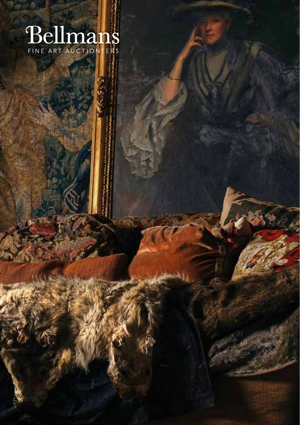# **Bellmans**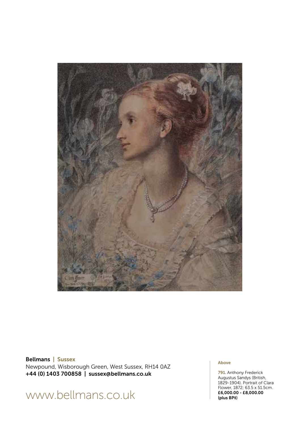

Bellmans | Sussex Newpound, Wisborough Green, West Sussex, RH14 0AZ +44 (0) 1403 700858 | sussex@bellmans.co.uk

# www.bellmans.co.uk

#### Above

791. Anthony Frederick Augustus Sandys (British, 1829-1904). Portrait of Clara Flower, 1872; 63.5 x 51.5cm. £6,000.00 - £8,000.00 (plus BP‡)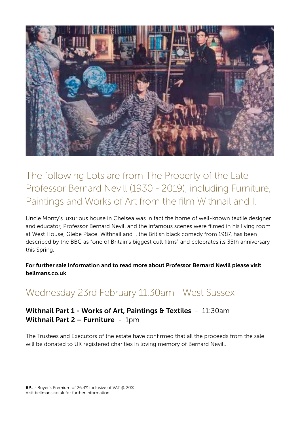

The following Lots are from The Property of the Late Professor Bernard Nevill (1930 - 2019), including Furniture, Paintings and Works of Art from the film Withnail and I.

Uncle Monty's luxurious house in Chelsea was in fact the home of well-known textile designer and educator, Professor Bernard Nevill and the infamous scenes were filmed in his living room at West House, Glebe Place. Withnail and I, the British black comedy from 1987, has been described by the BBC as "one of Britain's biggest cult films" and celebrates its 35th anniversary this Spring.

For further sale information and to read more about Professor Bernard Nevill please visit bellmans.co.uk

# Wednesday 23rd February 11.30am - West Sussex

Withnail Part 1 - Works of Art, Paintings & Textiles - 11:30am Withnail Part 2 – Furniture - 1pm

The Trustees and Executors of the estate have confirmed that all the proceeds from the sale will be donated to UK registered charities in loving memory of Bernard Nevill.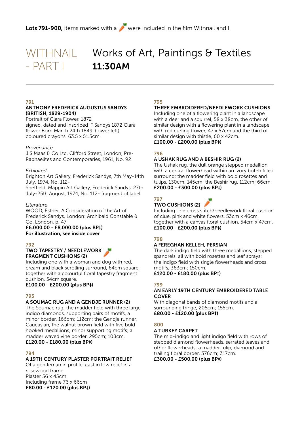# WITHNAIL - PART I

# Works of Art, Paintings & Textiles 11:30AM

#### 791

#### ANTHONY FREDERICK AUGUSTUS SANDYS (BRITISH, 1829-1904)

Portrait of Clara Flower, 1872 signed, dated and inscribed 'F Sandys 1872 Clara flower Born March 24th 1849' (lower left) coloured crayons, 63.5 x 51.5cm.

#### *Provenance*

J S Maas & Co Ltd, Clifford Street, London, Pre-Raphaelites and Contemporaries, 1961, No. 92

#### *Exhibited*

Brighton Art Gallery, Frederick Sandys, 7th May-14th July, 1974, No. 112-

Sheffield, Mappin Art Gallery, Frederick Sandys, 27th July-25th August, 1974, No. 112- fragment of label

#### *Literature*

WOOD, Esther, A Consideration of the Art of Frederick Sandys, London: Archibald Constable & Co. London, p. 47

#### £6,000.00 - £8,000.00 (plus BP‡) For illustration, see inside cover

#### 792

#### TWO TAPESTRY / NEEDLEWORK FRAGMENT CUSHIONS (2)

Including one with a woman and dog with red, cream and black scrolling surround, 64cm square, together with a colourful floral tapestry fragment cushion, 54cm square.

£100.00 - £200.00 (plus BP‡)

#### 793

#### A SOUMAC RUG AND A GENDJE RUNNER (2)

The Soumac rug; the madder field with three large indigo diamonds, supporting pairs of motifs, a minor border, 166cm; 112cm; the Gendje runner; Caucasian, the walnut brown field with five bold hooked medallions, minor supporting motifs; a madder waved vine border, 295cm; 108cm. £120.00 - £180.00 (plus BP‡)

#### 794

#### A 19TH CENTURY PLASTER PORTRAIT RELIEF

Of a gentleman in profile, cast in low relief in a rosewood frame Plaster 56 x 45cm Including frame 76 x 66cm £80.00 - £120.00 (plus BP‡)

#### 795

#### THREE EMBROIDERED/NEEDLEWORK CUSHIONS

Including one of a flowering plant in a landscape with a deer and a squirrel, 58 x 38cm, the other of similar design with a flowering plant in a landscape with red curling flower, 47 x 57cm and the third of similar design with thistle, 60 x 42cm. £100.00 - £200.00 (plus BP‡)

#### 796

#### A USHAK RUG AND A BESHIR RUG (2)

The Ushak rug, the dull orange stepped medallion with a central flowerhead within an ivory boteh filled surround; the madder field with bold rosettes and tulips, 130cm; 145cm; the Beshir rug, 112cm; 66cm. £200.00 - £300.00 (plus BP‡)

#### 797

#### TWO CUSHIONS (2)

Including one cross stitch/needlework floral cushion of clue, pink and white flowers, 53cm x 46cm, together with a canvas floral cushion, 54cm x 47cm. £100.00 - £200.00 (plus BP‡)

#### 798

#### A FEREGHAN KELLEH, PERSIAN

The dark indigo field with three medallions, stepped spandrels, all with bold rosettes and leaf sprays; the indigo field with single flowerheads and cross motifs, 363cm; 150cm. £120.00 - £180.00 (plus BP‡)

#### 799

#### AN EARLY 19TH CENTURY EMBROIDERED TABLE **COVER**

With diagonal bands of diamond motifs and a surrounding fringe, 205cm; 155cm. £80.00 - £120.00 (plus BP‡)

#### 800

#### A TURKEY CARPET

The mid-indigo and light indigo field with rows of stepped diamond flowerheads, serrated leaves and other flowerheads; a madder tulip, diamond and trailing floral border, 376cm; 317cm. £300.00 - £500.00 (plus BP‡)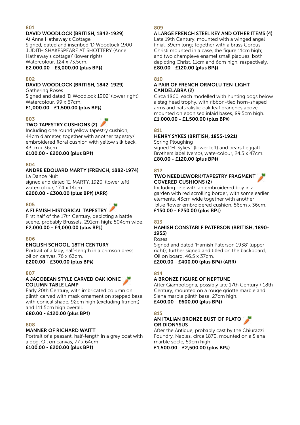#### DAVID WOODLOCK (BRITISH, 1842-1929)

At Anne Hathaway's Cottage Signed, dated and inscribed 'D Woodlock 1900 JUDITH SHAKESPEARE AT SHOTTERY (Anne Hathaway's cottage)' (lower right) Watercolour, 124 x 73.5cm.

£2,000.00 - £3,000.00 (plus BP‡)

#### 802

#### DAVID WOODLOCK (BRITISH, 1842-1929)

Gathering Roses Signed and dated 'D Woodlock 1902' (lower right) Watercolour, 99 x 67cm. £1,000.00 - £1,500.00 (plus BP‡)

#### 803

#### TWO TAPESTRY CUSHIONS (2)

Including one round yellow tapestry cushion, 44cm diameter, together with another tapestry/ embroidered floral cushion with yellow silk back, 43cm x 36cm.

£100.00 - £200.00 (plus BP‡)

#### 804

ANDRE EDOUARD MARTY (FRENCH, 1882-1974) La Dance Nuit

signed and dated 'E. MARTY. 1920' (lower left) watercolour, 17.4 x 14cm.

£200.00 - £300.00 (plus BP‡) (ARR)

#### 805

#### A FLEMISH HISTORICAL TAPESTRY

First half of the 17th Century, depicting a battle scene, probably Brussels, 291cm high; 504cm wide. £2,000.00 - £4,000.00 (plus BP‡)

#### 806

#### ENGLISH SCHOOL, 18TH CENTURY

Portrait of a lady, half-length in a crimson dress oil on canvas, 76 x 63cm.

£200.00 - £300.00 (plus BP‡)

#### 807

#### A JACOBEAN STYLE CARVED OAK IONIC COLUMN TABLE LAMP

Early 20th Century, with imbricated column on plinth carved with mask ornament on stepped base, with conical shade, 92cm high (excluding fitment) and 111.5cm high overall.

£80.00 - £120.00 (plus BP‡)

#### 808

#### MANNER OF RICHARD WAITT

Portrait of a peasant, half-length in a grey coat with a dog. Oil on canvas, 77 x 64cm. £100.00 - £200.00 (plus BP‡)

#### 809

#### A LARGE FRENCH STEEL KEY AND OTHER ITEMS (4)

Late 19th Century, mounted with a winged angel finial, 39cm long; together with a brass Corpus Christi mounted in a case, the figure 11cm high; and two champlevé enamel small plaques, both depicting Christ, 11cm and 6cm high, respectively. £80.00 - £120.00 (plus BP‡)

#### $810$

#### A PAIR OF FRENCH ORMOLU TEN-LIGHT CANDELABRA (2)

Circa 1860, each modelled with hunting dogs below a stag head trophy, with ribbon-tied horn-shaped arms and naturalistic oak leaf branches above, mounted on ebonised inlaid bases, 89.5cm high. £1,000.00 - £1,500.00 (plus BP‡)

#### 811

#### HENRY SYKES (BRITISH, 1855-1921)

Spring Ploughing signed 'H. Sykes.' (lower left) and bears Leggatt Brothers label (verso), watercolour, 24.5 x 47cm. £80.00 - £120.00 (plus BP‡)

#### 812

#### TWO NEEDLEWORK/TAPESTRY FRAGMENT COVERED CUSHIONS (2)

Including one with an embroidered boy in a garden with red scrolling border, with some earlier elements, 43cm wide together with another blue flower embroidered cushion, 56cm x 36cm.

#### £150.00 - £250.00 (plus BP‡)

#### 813

#### HAMISH CONSTABLE PATERSON (BRITISH, 1890- 1955)

Roses

Signed and dated 'Hamish Paterson 1938' (upper right); further signed and titled on the backboard, Oil on board, 46.5 x 37cm.

£200.00 - £400.00 (plus BP‡) (ARR)

#### 814

#### A BRONZE FIGURE OF NEPTUNE

After Giambologna, possibly late 17th Century / 18th Century, mounted on a rouge griotte marble and Siena marble plinth base, 27cm high. £400.00 - £600.00 (plus BP‡)

#### 815

#### AN ITALIAN BRONZE BUST OF PLATO OR DIONYSUS

After the Antique, probably cast by the Chiurazzi Foundry, Naples, circa 1870, mounted on a Siena marble socle, 59cm high.

£1,500.00 - £2,500.00 (plus BP‡)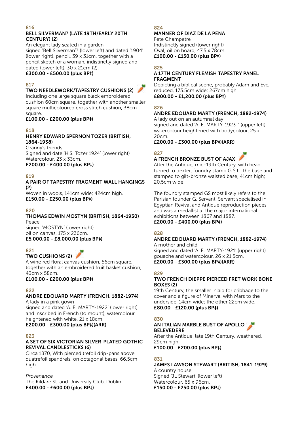#### BELL SILVERMAN? (LATE 19TH/EARLY 20TH CENTURY) (2)

An elegant lady seated in a garden signed 'Bell Silverman'? (lower left) and dated '1904' (lower right), pencil, 39 x 31cm, together with a pencil sketch of a woman, indistinctly signed and dated (lower left), 30 x 21cm (2). £300.00 - £500.00 (plus BP‡)

#### 817

#### TWO NEEDLEWORK/TAPESTRY CUSHIONS (2)



Including one large square black embroidered cushion 60cm square, together with another smaller square multicoloured cross stitch cushion, 38cm square.

£100.00 - £200.00 (plus BP‡)

#### 818

#### HENRY EDWARD SPERNON TOZER (BRITISH, 1864-1938)

Granny's friends Signed and date 'H.S. Tozer 1924' (lower right) Watercolour, 23 x 33cm.

£200.00 - £400.00 (plus BP‡)

#### 910

#### A PAIR OF TAPESTRY FRAGMENT WALL HANGINGS (2)

Woven in wools, 141cm wide; 424cm high. £150.00 - £250.00 (plus BP‡)

#### 820

#### THOMAS EDWIN MOSTYN (BRITISH, 1864-1930) Peace

signed 'MOSTYN' (lower right) oil on canvas, 175 x 236cm. £5,000.00 - £8,000.00 (plus BP‡)

#### 821

#### TWO CUSHIONS (2)

A wine red floral canvas cushion, 56cm square, together with an embroidered fruit basket cushion, 43cm x 58cm.

#### £100.00 - £200.00 (plus BP‡)

#### 822

#### ANDRE EDOUARD MARTY (FRENCH, 1882-1974) A lady in a pink gown

signed and dated 'A. E. MARTY-1922' (lower right) and inscribed in French (to mount), watercolour heightened with white, 21 x 18cm.

#### £200.00 - £300.00 (plus BP‡)(ARR)

#### 823

#### A SET OF SIX VICTORIAN SILVER-PLATED GOTHIC REVIVAL CANDLESTICKS (6)

Circa 1870, With pierced trefoil drip-pans above quatrefoil spandrels, on octagonal bases, 66.5cm high.

#### *Provenance*

The Kildare St. and University Club, Dublin. £400.00 - £600.00 (plus BP‡)

#### 824

#### MANNER OF DIAZ DE LA PENA Fete Champetre

Indistinctly signed (lower right) Oval, oil on board, 47.5 x 78cm. £100.00 - £150.00 (plus BP‡)

#### 825

#### A 17TH CENTURY FLEMISH TAPESTRY PANEL FRAGMENT

Depicting a biblical scene, probably Adam and Eve, reduced, 173.5cm wide; 267cm high. £800.00 - £1,200.00 (plus BP‡)

#### 826

#### ANDRE EDOUARD MARTY (FRENCH, 1882-1974)

A lady out on an autumnal day signed and dated 'A. E. MARTY-1923-' (upper left) watercolour heightened with bodycolour, 25 x 20cm.

£200.00 - £300.00 (plus BP‡)(ARR)

#### 827

#### A FRENCH BRONZE BUST OF AJAX

After the Antique, mid-19th Century, with head turned to dexter, foundry stamp G.S to the base and stamped to gilt-bronze waisted base, 41cm high; 20.5cm wide.

The foundry stamped GS most likely refers to the Parisian founder G. Servant. Servant specialised in Egyptian Revival and Antique reproduction pieces and was a medallist at the major international exhibitions between 1867 and 1887. £200.00 - £400.00 (plus BP‡)

#### 828

#### ANDRE EDOUARD MARTY (FRENCH, 1882-1974)

A mother and child signed and dated 'A. E. MARTY-1921' (upper right) gouache and watercolour, 26 x 21.5cm. £200.00 - £300.00 (plus BP‡)(ARR)

#### 829

#### TWO FRENCH DIEPPE PIERCED FRET WORK BONE BOXES (2)

19th Century, the smaller inlaid for cribbage to the cover and a figure of Minerva, with Mars to the underside, 14cm wide; the other 22cm wide. £80.00 - £120.00 (plus BP‡)

#### 830

#### AN ITALIAN MARBLE BUST OF APOLLO BELEVEDERE

After the Antique, late 19th Century, weathered, 29cm high.

£100.00 - £200.00 (plus BP‡)

#### **831**

#### JAMES LAWSON STEWART (BRITISH, 1841-1929) A country house Signed 'JL Stewart' (lower left) Watercolour, 65 x 96cm. £150.00 - £250.00 (plus BP‡)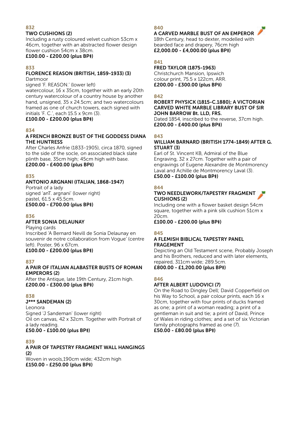#### TWO CUSHIONS (2)

Including a rusty coloured velvet cushion 53cm x 46cm, together with an abstracted flower design flower cushion 54cm x 38cm.

#### £100.00 - £200.00 (plus BP‡)

#### 833

#### FLORENCE REASON (BRITISH, 1859-1933) (3) Dartmoor

signed 'F. REASON.' (lower left)

watercolour, 16 x 35cm, together with an early 20th century watercolour of a country house by another hand, unsigned, 35 x 24.5cm; and two watercolours framed as one of church towers, each signed with initials 'F. C.', each 15.5 x 9cm (3).

#### £100.00 - £200.00 (plus BP‡)

#### 834

#### A FRENCH BRONZE BUST OF THE GODDESS DIANA THE HUNTRESS

After Charles Anfrie (1833-1905), circa 1870, signed to the side of the socle, on associated black slate plinth base, 35cm high; 45cm high with base. £200.00 - £400.00 (plus BP‡)

#### **975**

#### ANTONIO ARGNANI (ITALIAN, 1868-1947)

Portrait of a lady signed 'anT. argnani' (lower right) pastel, 61.5 x 45.5cm. £500.00 - £700.00 (plus BP‡)

#### 836

#### AFTER SONIA DELAUNAY

Playing cards Inscribed 'A Bernard Nevill de Sonia Delaunay en souvenir de notre collaboration from Vogue' (centre left). Poster, 96 x 67cm. £100.00 - £200.00 (plus BP‡)

#### 837

#### A PAIR OF ITALIAN ALABASTER BUSTS OF ROMAN EMPERORS (2)

After the Antique, late 19th Century, 21cm high. £200.00 - £300.00 (plus BP‡)

#### 838

#### J\*\*\* SANDEMAN (2)

Leonora Signed 'J Sandeman' (lower right) Oil on canvas, 42 x 32cm. Together with Portrait of a lady reading. £50.00 - £100.00 (plus BP‡)

#### $870$

A PAIR OF TAPESTRY FRAGMENT WALL HANGINGS  $(2)$ Woven in wools,190cm wide; 432cm high £150.00 - £250.00 (plus BP‡)

#### 840

#### A CARVED MARBLE BUST OF AN EMPEROR

18th Century, head to dexter, modelled with bearded face and drapery, 76cm high £2,000.00 - £4,000.00 (plus BP‡)

#### 841

FRED TAYLOR (1875-1963) Christchurch Mansion, Ipswich colour print, 75.5 x 122cm, ARR. £200.00 - £300.00 (plus BP‡)

#### 842

#### ROBERT PHYSICK (1815-C.1880); A VICTORIAN CARVED WHITE MARBLE LIBRARY BUST OF SIR JOHN BARROW Bt. LLD, FRS.

Dated 1854, inscribed to the reverse, 37cm high. £200.00 - £400.00 (plus BP‡)

#### 843

#### WILLIAM BARNARD (BRITISH 1774-1849) AFTER G. STUART (3)

Earl of St. Vincent KB, Admiral of the Blue Engraving, 32 x 27cm. Together with a pair of engravings of Eugene Alexandre de Montmorency Laval and Achille de Montmorency Laval (3). £50.00 - £100.00 (plus BP‡)

#### **844**

#### TWO NEEDLEWORK/TAPESTRY FRAGMENT CUSHIONS (2)

Including one with a flower basket design 54cm square, together with a pink silk cushion 51cm x  $20cm$ 

£100.00 - £200.00 (plus BP‡)

#### 845

#### A FLEMISH BIBLICAL TAPESTRY PANEL FRAGEMENT

Depicting an Old Testament scene, Probably Joseph and his Brothers, reduced and with later elements, repaired, 311cm wide; 289.5cm. £800.00 - £1,200.00 (plus BP‡)

#### 846

#### AFTER ALBERT LUDOVICI (7)

On the Road to Dingley Dell; David Copperfield on his Way to School, a pair colour prints, each 16 x 30cm, together with four prints of ducks framed as one; a print of a woman reading; a print of a gentleman in suit and tie; a print of David, Prince of Wales in riding clothes; and a set of six Victorian family photographs framed as one (7).

£50.00 - £80.00 (plus BP‡)

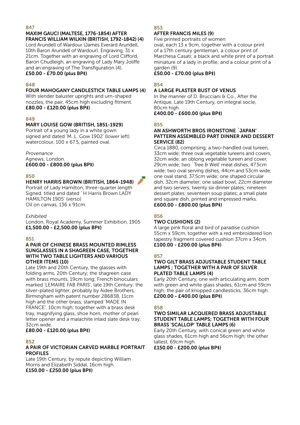#### MAXIM GAUCI (MALTESE, 1776-1854) AFTER FRANCIS WILLIAM WILKIN (BRITISH, 1792-1842) (4) Lord Arundell of Wardour (James Everard Arundell,

10th Baron Arundell of Wardour). Engraving, 31 x 21cm. Together with an engraving of Lord Clifford, Baron Chudleigh, an engraving of Lady Mary Joliffe and an engraving of The Transfiguration (4). £50.00 - £70.00 (plus BP‡)

#### 848

#### FOUR MAHOGANY CANDLESTICK TABLE LAMPS (4)

With slender baluster uprights and urn-shaped nozzles, the pair, 45cm high excluding fitment. £80.00 - £120.00 (plus BP‡)

#### 840

#### MARY LOUISE GOW (BRITISH, 1851-1929)

Portrait of a young lady in a white gown signed and dated 'M. L. Gow 1902' (lower left) watercolour, 100 x 67.5, painted oval.

#### *Provenance*

Agnews, London.

#### £600.00 - £800.00 (plus BP‡)

#### 850

#### HENRY HARRIS BROWN (BRITISH, 1864-1948)

Portrait of Lady Hamilton, three-quarter length Signed, titled and dated ' H Harris Brown LADY HAMILTON 1905' (verso) Oil on canvas, 136 x 91cm.

#### *Exhibited*

London, Royal Academy, Summer Exhibition, 1905 £1,500.00 - £2,500.00 (plus BP‡)

#### 851

#### A PAIR OF CHINESE BRASS MOUNTED RIMLESS SUNGLASSES IN A SHAGREEN CASE, TOGETHER WITH TWO TABLE LIGHTERS AND VARIOUS OTHER ITEMS (10)

Late 19th and 20th Century, the glasses with folding arms, 20th Century; the shagreen case with brass mounts, 19cm long; French binoculars marked 'LEMAIRE FAB PARIS', late 19th Century; the silver-plated lighter, probably by Aidee Brothers, Birmingham with patent number 286838, 11cm high and the other brass, stamped 'MADE IN FRANCE', 10cm high; together with a brass desk tray, magnifying glass, shoe horn, mother of pearl letter opener and a malachite inlaid slate desk tray, 32cm wide.

#### £80.00 - £120.00 (plus BP‡)

#### 852

#### A PAIR OF VICTORIAN CARVED MARBLE PORTRAIT PROFILES

Late 19th Century, by repute depicting William Morris and Elizabeth Siddal, 16cm high. £150.00 - £250.00 (plus BP‡)

#### 853

#### AFTER FRANCIS MILES (9)

Five printed portraits of women oval, each 13 x 9cm, together with a colour print of a 17th century gentleman; a colour print of Marchesa Casati; a black and white print of a portrait miniature of a lady in profile; and a colour print of a garden (9).

£50.00 - £70.00 (plus BP‡)

#### 854

#### A LARGE PLASTER BUST OF VENUS

In the manner of D. Brucciani & Co., After the Antique, Late 19th Century, on integral socle, 80cm high.

#### £400.00 - £600.00 (plus BP‡)

#### 855

#### AN ASHWORTH BROS IRONSTONE `JAPAN' PATTERN ASSEMBLED PART DINNER AND DESSERT SERVICE (82)

Circa 1880, comprising; a two-handled oval tureen, 33cm wide; three oval vegetable tureens and covers, 32cm wide; an oblong vegetable tureen and cover, 29cm wide; two `Tree & Well' meat dishes, 47.5cm wide; two oval serving dishes, 44cm and 53cm wide; one oval stand, 37.5cm wide; one shaped circular dish, 32cm diameter; one salad bowl, 22cm diameter and two servers; twenty six dinner plates; nineteen dessert plates; seventeen soup plates; a small plate and square dish, printed and impressed marks. £600.00 - £800.00 (plus BP‡)

#### 856

#### TWO CUSHIONS (2)

A large pink floral and bird of paradise cushion 55cm x 59cm, together with a red embroidered lion tapestry fragment covered cushion 37cm x 34cm. £100.00 - £200.00 (plus BP‡)

#### 857

#### TWO GILT BRASS ADJUSTABLE STUDENT TABLE LAMPS ; TOGETHER WITH A PAIR OF SILVER PLATED TABLE LAMPS (4)

Early 20th Century, one with articulating arm, both with green and white glass shades, 61cm and 59cm high; the pair of knopped candlesticks, 36cm high. £200.00 - £400.00 (plus BP‡)

#### 858

#### TWO SIMILAR LACQUERED BRASS ADJUSTABLE STUDENT TABLE LAMPS; TOGETHER WITH FOUR BRASS 'SCALLOP' TABLE LAMPS (6)

Early 20th Century, with conical green and white glass shades, 61cm high and 56cm high; the other tallest, 69cm high.

£150.00 - £200.00 (plus BP‡)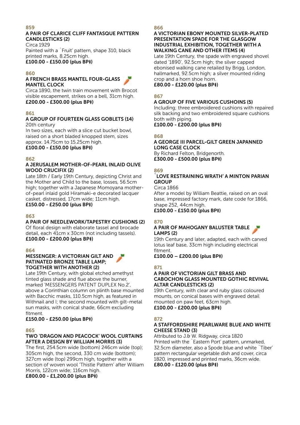#### A PAIR OF CLARICE CLIFF FANTASQUE PATTERN CANDLESTICKS (2)

Circa 1929 Painted with a `Fruit' pattern, shape 310, black printed marks, 8.25cm high. £100.00 - £150.00 (plus BP‡)

#### $960$

#### A FRENCH BRASS MANTEL FOUR-GLASS MANTEL CLOCK

Circa 1890, the twin train movement with Brocot visible escapement, strikes on a bell, 31cm high. £200.00 - £300.00 (plus BP‡)

#### 861

#### A GROUP OF FOURTEEN GLASS GOBLETS (14) 20th century

In two sizes, each with a slice cut bucket bowl, raised on a short bladed knopped stem, sizes approx. 14.75cm to 15.25cm high.

#### £100.00 - £150.00 (plus BP‡)

#### 862

#### A JERUSALEM MOTHER-OF-PEARL INLAID OLIVE WOOD CRUCIFIX (2)

Late 18th / Early 19th Century, depicting Christ and the Mother and Child to the base, losses, 56.5cm high; together with a Japanese Momoyana motherof-pearl inlaid gold Hiramaki-e decorated lacquer casket, distressed, 17cm wide; 11cm high. £150.00 - £250.00 (plus BP‡)

#### 863

#### A PAIR OF NEEDLEWORK/TAPESTRY CUSHIONS (2)

Of floral design with elaborate tassel and brocade detail, each 41cm x 30cm (not including tassels). £100.00 - £200.00 (plus BP‡)

#### 864

#### MESSENGER: A VICTORIAN GILT AND PATINATED BRONZE TABLE LAMP; TOGETHER WITH ANOTHER (2)

Late 19th Century, with global etched amethyst tinted glass shade and flue above the burner, marked 'MESSENGERS PATENT DUPLEX No.2' above a Corinthian column on plinth base mounted with Bacchic masks, 110.5cm high, as featured in Withnail and I; the second mounted with gilt-metal sun masks, with conical shade, 66cm excluding fitment.

#### £150.00 - £250.00 (plus BP‡)

#### 865

#### TWO 'DRAGON AND PEACOCK' WOOL CURTAINS AFTER A DESIGN BY WILLIAM MORRIS (3)

The first, 254.5cm wide (bottom) 246cm wide (top); 305cm high, the second, 330 cm wide (bottom); 327cm wide (top) 299cm high, together with a section of woven wool 'Thistle Pattern' after William Morris, 122cm wide; 116cm high.

£800.00 - £1,200.00 (plus BP‡)

#### 866

#### A VICTORIAN EBONY MOUNTED SILVER-PLATED PRESENTATION SPADE FOR THE GLASGOW INDUSTRIAL EXHIBITION, TOGETHER WITH A WALKING CANE AND OTHER ITEMS (4)

Late 19th Century, the spade with engraved shovel dated '1890', 92.5cm high; the silver capped ebonised walking cane retailed by Brigg, London, hallmarked, 92.5cm high; a silver mounted riding crop and a horn shoe horn.

£80.00 - £120.00 (plus BP‡)

#### 867

#### A GROUP OF FIVE VARIOUS CUSHOINS (5)

Including; three embroidered cushions with repaired silk backing and two embroidered square cushions both with piping.

£100.00 - £200.00 (plus BP‡)

#### $868$

#### A GEORGE III PARCEL-GILT GREEN JAPANNED LONG CASE CLOCK

By Richard Felton, Bridgenorth. £300.00 - £500.00 (plus BP‡)

#### $869$

#### `LOVE RESTRAINING WRATH' A MINTON PARIAN **GROUP**

Circa 1866

After a model by William Beattie, raised on an oval base, impressed factory mark, date code for 1866, shape 252, 44cm high.

£100.00 - £150.00 (plus BP‡)

#### 870

#### A PAIR OF MAHOGANY BALUSTER TABLE LAMPS (2)

19th Century and later, adapted, each with carved lotus leaf base, 33cm high including electrical fitment.

£100.00 – £200.00 (plus BP‡)

#### 871

#### A PAIR OF VICTORIAN GILT BRASS AND CABOCHON GLASS MOUNTED GOTHIC REVIVAL ALTAR CANDLESTICKS (2)

19th Century, with clear and ruby glass coloured mounts, on conical bases with engraved detail mounted on paw feet, 63cm high. £100.00 - £200.00 (plus BP‡)

#### 872

#### A STAFFORDSHIRE PEARLWARE BLUE AND WHITE CHEESE STAND (3)

Attributed to J.& W. Ridgway, circa 1820 Printed with the `Eastern Port' pattern, unmarked, 32.5cm diameter, also a Spode blue and white `Tiber' pattern rectangular vegetable dish and cover, circa 1820, impressed and printed marks, 36cm wide. £80.00 - £120.00 (plus BP‡)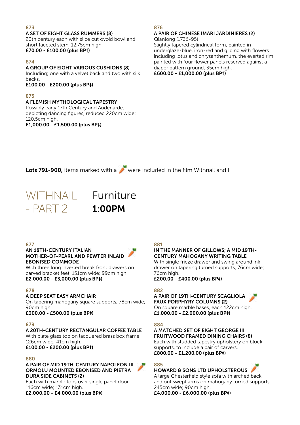A SET OF EIGHT GLASS RUMMERS (8) 20th century each with slice cut ovoid bowl and short faceted stem, 12.75cm high. £70.00 - £100.00 (plus BP‡)

#### 874

A GROUP OF EIGHT VARIOUS CUSHIONS (8)

Including; one with a velvet back and two with silk backs.

£100.00 - £200.00 (plus BP‡)

#### 875

#### A FLEMISH MYTHOLOGICAL TAPESTRY

Possibly early 17th Century and Audenarde, depicting dancing figures, reduced 220cm wide; 120.5cm high. £1,000.00 - £1,500.00 (plus BP‡)

#### 876

#### A PAIR OF CHINESE IMARI JARDINIERES (2) Qianlong (1736-95)

Slightly tapered cylindrical form, painted in underglaze-blue, iron-red and gilding with flowers including lotus and chrysanthemum, the everted rim painted with four flower panels reserved against a diaper pattern ground, 35cm high. £600.00 - £1,000.00 (plus BP‡)

Lots 791-900, items marked with a were included in the film Withnail and I.



1:00PM

#### 877

#### AN 18TH-CENTURY ITALIAN MOTHER-OF-PEARL AND PEWTER INLAID EBONISED COMMODE

With three long inverted break front drawers on carved bracket feet, 151cm wide; 99cm high. £2,000.00 - £3,000.00 (plus BP‡)

#### 878

#### A DEEP SEAT EASY ARMCHAIR

On tapering mahogany square supports, 78cm wide; 90cm high. £300.00 - £500.00 (plus BP‡)

#### 870

#### A 20TH-CENTURY RECTANGULAR COFFEE TABLE

With plate glass top on lacquered brass box frame. 126cm wide; 41cm high. £100.00 - £200.00 (plus BP‡)

#### 880

A PAIR OF MID 19TH-CENTURY NAPOLEON III ORMOLU MOUNTED EBONISED AND PIETRA DURA SIDE CABINETS (2)

Each with marble tops over single panel door, 116cm wide; 131cm high.

£2,000.00 - £4,000.00 (plus BP‡)

#### 881

#### IN THE MANNER OF GILLOWS; A MID 19TH-CENTURY MAHOGANY WRITING TABLE

With single frieze drawer and swing around ink drawer on tapering turned supports, 76cm wide; 76cm high.

£200.00 - £400.00 (plus BP‡)

#### 882

#### A PAIR OF 19TH-CENTURY SCAGLIOLA FAUX PORPHYRY COLUMNS (2)

On square marble bases, each 122cm high. £1,000.00 - £2,000.00 (plus BP‡)

#### 884

#### A MATCHED SET OF EIGHT GEORGE III FRUITWOOD FRAMED DINING CHAIRS (8)

Each with studded tapestry upholstery on block supports, to include a pair of carvers. £800.00 - £1,200.00 (plus BP‡)

#### 885

#### HOWARD & SONS LTD UPHOLSTEROUS

A large Chesterfield style sofa with arched back and out swept arms on mahogany turned supports, 245cm wide; 90cm high.

£4,000.00 - £6,000.00 (plus BP‡)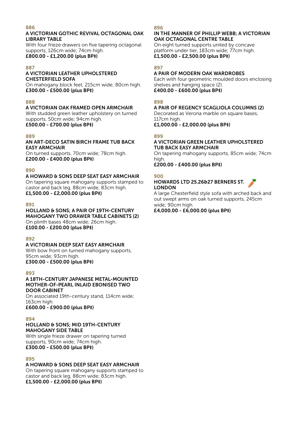#### A VICTORIAN GOTHIC REVIVAL OCTAGONAL OAK LIBRARY TABLE

With four frieze drawers on five tapering octagonal supports, 126cm wide; 74cm high. £800.00 - £1,200.00 (plus BP‡)

#### 887

#### A VICTORIAN LEATHER UPHOLSTERED CHESTERFIELD SOFA

On mahogany block feet, 215cm wide; 80cm high. £300.00 - £500.00 (plus BP‡)

#### 888

#### A VICTORIAN OAK FRAMED OPEN ARMCHAIR

With studded green leather upholstery on turned supports, 50cm wide; 94cm high. £500.00 - £700.00 (plus BP‡)

#### 889

#### AN ART-DECO SATIN BIRCH FRAME TUB BACK EASY ARMCHAIR

On turned supports, 70cm wide; 78cm high. £200.00 - £400.00 (plus BP‡)

#### 890

#### A HOWARD & SONS DEEP SEAT EASY ARMCHAIR

On tapering square mahogany supports stamped to castor and back leg, 88cm wide; 83cm high. £1,500.00 - £2,000.00 (plus BP‡)

#### 891

#### HOLLAND & SONS; A PAIR OF 19TH-CENTURY MAHOGANY TWO DRAWER TABLE CABINETS (2) On plinth bases 48cm wide; 26cm high.

£100.00 - £200.00 (plus BP‡)

#### $892$

#### A VICTORIAN DEEP SEAT EASY ARMCHAIR

With bow front on turned mahogany supports, 95cm wide; 93cm high.

£300.00 - £500.00 (plus BP‡)

#### 893

#### A 18TH-CENTURY JAPANESE METAL-MOUNTED MOTHER-OF-PEARL INLAID EBONISED TWO DOOR CABINET

On associated 19th-century stand, 114cm wide; 163cm high.

£600.00 - £900.00 (plus BP‡)

#### 894

#### HOLLAND & SONS; MID 19TH-CENTURY MAHOGANY SIDE TABLE

With single frieze drawer on tapering turned supports, 90cm wide; 74cm high. £300.00 - £500.00 (plus BP‡)

#### 895

#### A HOWARD & SONS DEEP SEAT EASY ARMCHAIR

On tapering square mahogany supports stamped to castor and back leg, 88cm wide; 83cm high. £1,500.00 - £2,000.00 (plus BP‡)

#### 896

#### IN THE MANNER OF PHILLIP WEBB; A VICTORIAN OAK OCTAGONAL CENTRE TABLE

On eight turned supports united by concave platform under tier, 183cm wide; 77cm high. £1,500.00 - £2,500.00 (plus BP‡)

#### 897

#### A PAIR OF MODERN OAK WARDROBES

Each with four geometric moulded doors enclosing shelves and hanging space (2). £400.00 - £600.00 (plus BP‡)

#### 898

#### A PAIR OF REGENCY SCAGLIOLA COLUMNS (2) Decorated as Verona marble on square bases,

117cm high.

£1,000.00 - £2,000.00 (plus BP‡)

#### 899

#### A VICTORIAN GREEN LEATHER UPHOLSTERED TUB BACK EASY ARMCHAIR

On tapering mahogany supports, 85cm wide; 74cm high.

£200.00 - £400.00 (plus BP‡)

#### 900

#### HOWARDS LTD 25.26&27 BERNERS ST. LONDON

A large Chesterfield style sofa with arched back and out swept arms on oak turned supports, 245cm wide; 90cm high.

£4,000.00 - £6,000.00 (plus BP‡)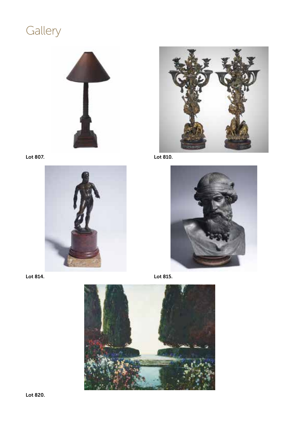# Gallery















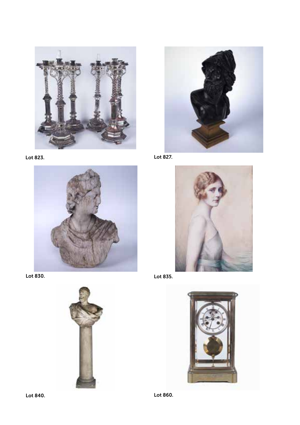











Lot 827.



Lot 835.



Lot 860.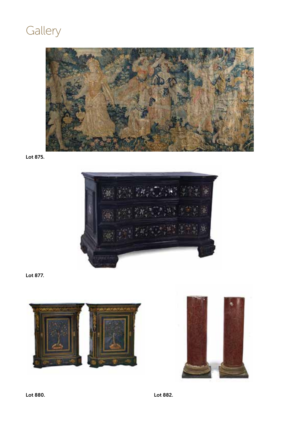# **Gallery**



Lot 875.



Lot 877.





Lot 880. Lot 882.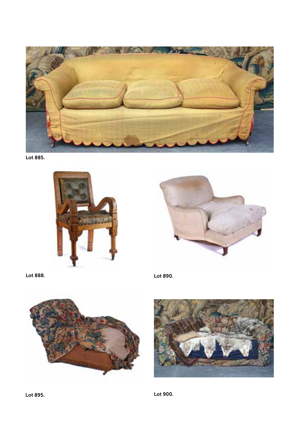

Lot 885.





Lot 888. Lot 890.





Lot 895. Lot 900.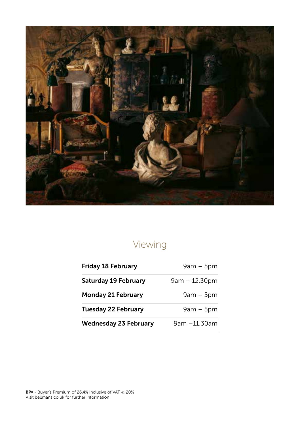

# Viewing

| <b>Friday 18 February</b>    | $9am - 5pm$     |  |
|------------------------------|-----------------|--|
| Saturday 19 February         | $9am - 12.30pm$ |  |
| <b>Monday 21 February</b>    | $9am - 5pm$     |  |
| <b>Tuesday 22 February</b>   | $9am - 5pm$     |  |
| <b>Wednesday 23 February</b> | 9am -11.30am    |  |
|                              |                 |  |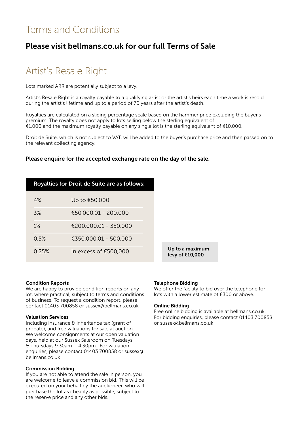### Terms and Conditions

### Please visit bellmans.co.uk for our full Terms of Sale

### Artist's Resale Right

Lots marked ARR are potentially subject to a levy.

Artist's Resale Right is a royalty payable to a qualifying artist or the artist's heirs each time a work is resold during the artist's lifetime and up to a period of 70 years after the artist's death.

Royalties are calculated on a sliding percentage scale based on the hammer price excluding the buyer's premium. The royalty does not apply to lots selling below the sterling equivalent of €1,000 and the maximum royalty payable on any single lot is the sterling equivalent of €10,000.

Droit de Suite, which is not subject to VAT, will be added to the buyer's purchase price and then passed on to the relevant collecting agency.

#### Please enquire for the accepted exchange rate on the day of the sale.

|       | <b>Royalties for Droit de Suite are as follows:</b> |
|-------|-----------------------------------------------------|
| 4%    | Up to €50.000                                       |
| 3%    | €50.000.01 - 200.000                                |
| 1%    | €200.000.01 - 350.000                               |
| 0.5%  | €350,000,01 - 500,000                               |
| 0.25% | In excess of $€500.000$                             |

 $\hbar$ a maximum of €10,000

#### Condition Reports

We are happy to provide condition reports on any lot, where practical, subject to terms and conditions of business. To request a condition report, please contact 01403 700858 or sussex@bellmans.co.uk

#### Valuation Services

Including insurance & inheritance tax (grant of probate), and free valuations for sale at auction. We welcome consignments at our open valuation days, held at our Sussex Saleroom on Tuesdays & Thursdays 9.30am – 4.30pm. For valuation enquiries, please contact 01403 700858 or sussex@ bellmans.co.uk

#### Commission Bidding

If you are not able to attend the sale in person, you are welcome to leave a commission bid. This will be executed on your behalf by the auctioneer, who will purchase the lot as cheaply as possible, subject to the reserve price and any other bids.

#### Telephone Bidding

We offer the facility to bid over the telephone for lots with a lower estimate of £300 or above.

#### Online Bidding

Free online bidding is available at bellmans.co.uk. For bidding enquiries, please contact 01403 700858 or sussex@bellmans.co.uk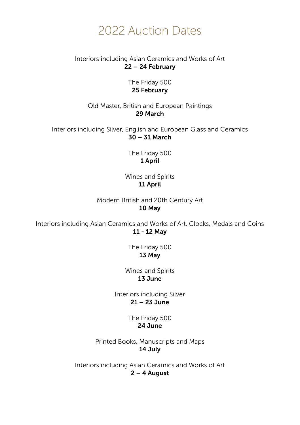# 2022 Auction Dates

#### Interiors including Asian Ceramics and Works of Art 22 – 24 February

The Friday 500 25 February

Old Master, British and European Paintings 29 March

Interiors including Silver, English and European Glass and Ceramics 30 – 31 March

> The Friday 500 1 April

Wines and Spirits 11 April

Modern British and 20th Century Art 10 May

Interiors including Asian Ceramics and Works of Art, Clocks, Medals and Coins 11 - 12 May

> The Friday 500 13 May

Wines and Spirits 13 June

Interiors including Silver 21 – 23 June

> The Friday 500 24 June

Printed Books, Manuscripts and Maps 14 July

Interiors including Asian Ceramics and Works of Art 2 – 4 August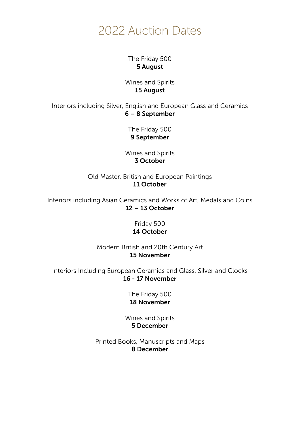# 2022 Auction Dates

The Friday 500 5 August

Wines and Spirits 15 August

Interiors including Silver, English and European Glass and Ceramics 6 – 8 September

> The Friday 500 9 September

Wines and Spirits 3 October

Old Master, British and European Paintings 11 October

Interiors including Asian Ceramics and Works of Art, Medals and Coins 12 – 13 October

> Friday 500 14 October

Modern British and 20th Century Art 15 November

Interiors Including European Ceramics and Glass, Silver and Clocks 16 - 17 November

> The Friday 500 18 November

Wines and Spirits 5 December

Printed Books, Manuscripts and Maps 8 December